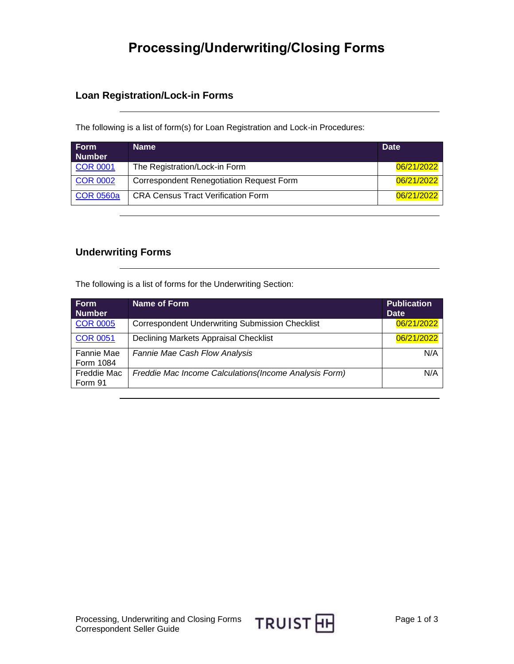# **Processing/Underwriting/Closing Forms**

## **Loan Registration/Lock-in Forms**

The following is a list of form(s) for Loan Registration and Lock-in Procedures:

| <b>Form</b><br><b>Number</b> | Name                                      | <b>Date</b> |
|------------------------------|-------------------------------------------|-------------|
| <b>COR 0001</b>              | The Registration/Lock-in Form             | 06/21/2022  |
| <b>COR 0002</b>              | Correspondent Renegotiation Request Form  | 06/21/2022  |
| <b>COR 0560a</b>             | <b>CRA Census Tract Verification Form</b> | 06/21/2022  |

### **Underwriting Forms**

The following is a list of forms for the Underwriting Section:

| <b>Form</b><br><b>Number</b> | Name of Form                                           | <b>Publication</b><br><b>Date</b> |
|------------------------------|--------------------------------------------------------|-----------------------------------|
| <b>COR 0005</b>              | <b>Correspondent Underwriting Submission Checklist</b> | 06/21/2022                        |
| <b>COR 0051</b>              | Declining Markets Appraisal Checklist                  | 06/21/2022                        |
| Fannie Mae<br>Form 1084      | <b>Fannie Mae Cash Flow Analysis</b>                   | N/A                               |
| Freddie Mac<br>Form 91       | Freddie Mac Income Calculations (Income Analysis Form) | N/A                               |

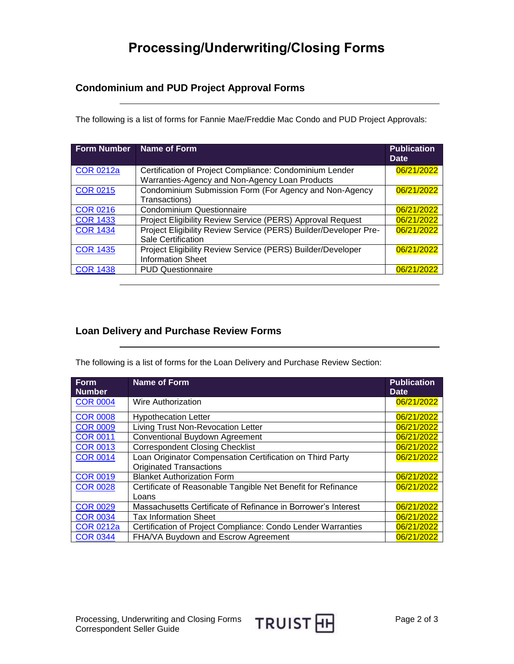# **Processing/Underwriting/Closing Forms**

## **Condominium and PUD Project Approval Forms**

The following is a list of forms for Fannie Mae/Freddie Mac Condo and PUD Project Approvals:

| <b>Form Number</b> | Name of Form                                                                                              | <b>Publication</b><br><b>Date</b> |
|--------------------|-----------------------------------------------------------------------------------------------------------|-----------------------------------|
| <b>COR 0212a</b>   | Certification of Project Compliance: Condominium Lender<br>Warranties-Agency and Non-Agency Loan Products | 06/21/2022                        |
| <b>COR 0215</b>    | Condominium Submission Form (For Agency and Non-Agency<br>Transactions)                                   | 06/21/2022                        |
| <b>COR 0216</b>    | <b>Condominium Questionnaire</b>                                                                          | 06/21/2022                        |
| <b>COR 1433</b>    | Project Eligibility Review Service (PERS) Approval Request                                                | 06/21/2022                        |
| <b>COR 1434</b>    | Project Eligibility Review Service (PERS) Builder/Developer Pre-<br>Sale Certification                    | 06/21/2022                        |
| <b>COR 1435</b>    | Project Eligibility Review Service (PERS) Builder/Developer<br><b>Information Sheet</b>                   | 06/21/2022                        |
| <b>COR 1438</b>    | <b>PUD Questionnaire</b>                                                                                  | 06/21/2022                        |

## **Loan Delivery and Purchase Review Forms**

The following is a list of forms for the Loan Delivery and Purchase Review Section:

| <b>Form</b>      | <b>Name of Form</b>                                           | <b>Publication</b> |
|------------------|---------------------------------------------------------------|--------------------|
| <b>Number</b>    |                                                               | <b>Date</b>        |
| <b>COR 0004</b>  | Wire Authorization                                            | 06/21/2022         |
| <b>COR 0008</b>  | <b>Hypothecation Letter</b>                                   | 06/21/2022         |
| <b>COR 0009</b>  | Living Trust Non-Revocation Letter                            | 06/21/2022         |
| <b>COR 0011</b>  | Conventional Buydown Agreement                                | 06/21/2022         |
| <b>COR 0013</b>  | <b>Correspondent Closing Checklist</b>                        | 06/21/2022         |
| <b>COR 0014</b>  | Loan Originator Compensation Certification on Third Party     | 06/21/2022         |
|                  | <b>Originated Transactions</b>                                |                    |
| <b>COR 0019</b>  | <b>Blanket Authorization Form</b>                             | 06/21/2022         |
| <b>COR 0028</b>  | Certificate of Reasonable Tangible Net Benefit for Refinance  | 06/21/2022         |
|                  | Loans                                                         |                    |
| <b>COR 0029</b>  | Massachusetts Certificate of Refinance in Borrower's Interest | 06/21/2022         |
| <b>COR 0034</b>  | <b>Tax Information Sheet</b>                                  | 06/21/2022         |
| <b>COR 0212a</b> | Certification of Project Compliance: Condo Lender Warranties  | 06/21/2022         |
| <b>COR 0344</b>  | FHA/VA Buydown and Escrow Agreement                           | 06/21/2022         |